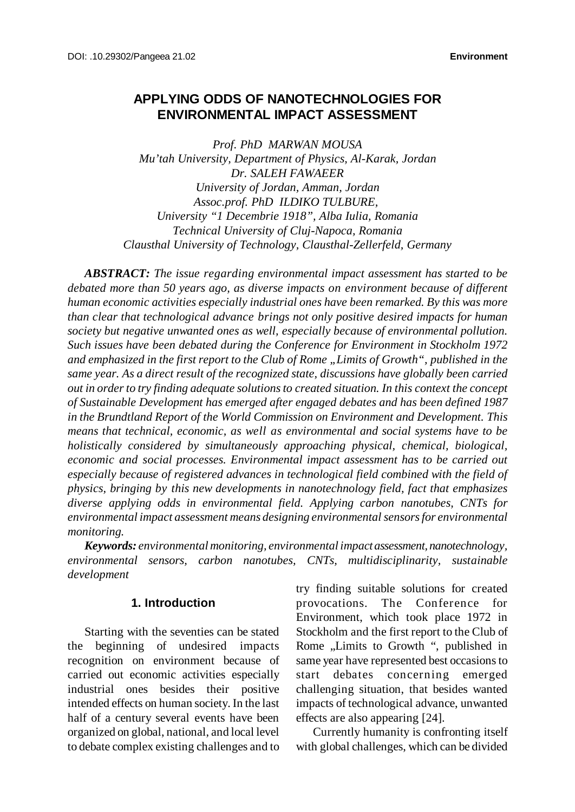# **APPLYING ODDS OF NANOTECHNOLOGIES FOR ENVIRONMENTAL IMPACT ASSESSMENT**

*Prof. PhD MARWAN MOUSA Mu'tah University, Department of Physics, Al-Karak, Jordan Dr. SALEH FAWAEER University of Jordan, Amman, Jordan Assoc.prof. PhD ILDIKO TULBURE, University "1 Decembrie 1918", Alba Iulia, Romania Technical University of Cluj-Napoca, Romania Clausthal University of Technology, Clausthal-Zellerfeld, Germany*

*ABSTRACT: The issue regarding environmental impact assessment has started to be debated more than 50 years ago, as diverse impacts on environment because of different human economic activities especially industrial ones have been remarked. By this was more than clear that technological advance brings not only positive desired impacts for human society but negative unwanted ones as well, especially because of environmental pollution. Such issues have been debated during the Conference for Environment in Stockholm 1972 and emphasized in the first report to the Club of Rome "Limits of Growth", published in the same year. As a direct result of the recognized state, discussions have globally been carried out in orderto try finding adequate solutionsto created situation. In this context the concept of Sustainable Development has emerged after engaged debates and has been defined 1987 in the Brundtland Report of the World Commission on Environment and Development. This means that technical, economic, as well as environmental and social systems have to be holistically considered by simultaneously approaching physical, chemical, biological, economic and social processes. Environmental impact assessment has to be carried out especially because of registered advances in technological field combined with the field of physics, bringing by this new developments in nanotechnology field, fact that emphasizes diverse applying odds in environmental field. Applying carbon nanotubes, CNTs for environmental impact assessment means designing environmental sensorsfor environmental monitoring.*

*Keywords: environmental monitoring, environmental impact assessment, nanotechnology, environmental sensors, carbon nanotubes, CNTs, multidisciplinarity, sustainable development*

### **1. Introduction**

Starting with the seventies can be stated the beginning of undesired impacts recognition on environment because of carried out economic activities especially industrial ones besides their positive intended effects on human society. In the last half of a century several events have been organized on global, national, and local level to debate complex existing challenges and to

try finding suitable solutions for created provocations. The Conference for Environment, which took place 1972 in Stockholm and the first report to the Club of Rome "Limits to Growth", published in same year have represented best occasionsto start debates concerning emerged challenging situation, that besides wanted impacts of technological advance, unwanted effects are also appearing [24].

Currently humanity is confronting itself with global challenges, which can be divided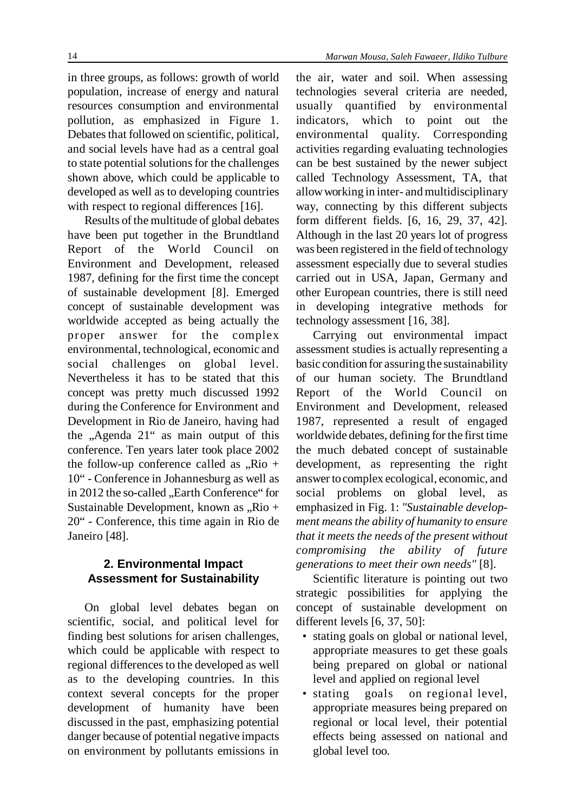in three groups, as follows: growth of world population, increase of energy and natural resources consumption and environmental pollution, as emphasized in Figure 1. Debates that followed on scientific, political, and social levels have had as a central goal to state potential solutions for the challenges shown above, which could be applicable to developed as well as to developing countries with respect to regional differences [16].

Results of the multitude of global debates have been put together in the Brundtland Report of the World Council Environment and Development, released 1987, defining for the first time the concept of sustainable development [8]. Emerged concept of sustainable development was worldwide accepted as being actually the proper answer for the complex environmental, technological, economic and social challenges on global level. Nevertheless it has to be stated that this concept was pretty much discussed 1992 during the Conference for Environment and Development in Rio de Janeiro, having had the  $,$ Agenda 21" as main output of this conference. Ten years later took place 2002 the follow-up conference called as  $\partial_x$ Rio + 10" - Conference in Johannesburg as well as in 2012 the so-called ..Earth Conference" for Sustainable Development, known as  $Rio +$ 20" - Conference, this time again in Rio de Janeiro [48].

## **2. Environmental Impact Assessment for Sustainability**

On global level debates began on scientific, social, and political level for finding best solutions for arisen challenges, which could be applicable with respect to regional differences to the developed as well as to the developing countries. In this context several concepts for the proper development of humanity have been discussed in the past, emphasizing potential danger because of potential negative impacts on environment by pollutants emissions in

the air, water and soil. When assessing technologies several criteria are needed, usually quantified by environmental indicators, which to point out the environmental quality. Corresponding activities regarding evaluating technologies can be best sustained by the newer subject called Technology Assessment, TA, that allow working in inter- and multidisciplinary way, connecting by this different subjects form different fields. [6, 16, 29, 37, 42]. Although in the last 20 years lot of progress was been registered in the field of technology assessment especially due to several studies carried out in USA, Japan, Germany and other European countries, there is still need in developing integrative methods for technology assessment [16, 38].

Carrying out environmental impact assessment studies is actually representing a basic condition for assuring the sustainability of our human society. The Brundtland Report of the World Council on Environment and Development, released 1987, represented a result of engaged worldwide debates, defining for the first time the much debated concept of sustainable development, as representing the right answer to complex ecological, economic, and social problems on global level, as emphasized in Fig. 1: *"Sustainable development meansthe ability of humanity to ensure that it meets the needs of the present without compromising the ability of future generations to meet their own needs"* [8].

Scientific literature is pointing out two strategic possibilities for applying the concept of sustainable development on different levels [6, 37, 50]:

- stating goals on global or national level, appropriate measures to get these goals being prepared on global or national level and applied on regional level
- stating goals on regional level, appropriate measures being prepared on regional or local level, their potential effects being assessed on national and global level too.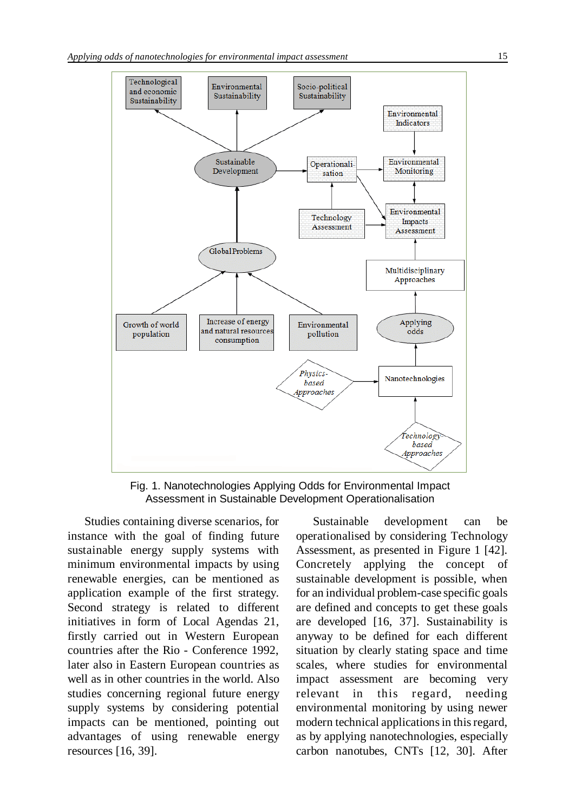

Fig. 1. Nanotechnologies Applying Odds for Environmental Impact Assessment in Sustainable Development Operationalisation

Studies containing diverse scenarios, for instance with the goal of finding future sustainable energy supply systems with minimum environmental impacts by using renewable energies, can be mentioned as application example of the first strategy. Second strategy is related to different initiatives in form of Local Agendas 21, firstly carried out in Western European countries after the Rio - Conference 1992, later also in Eastern European countries as well as in other countries in the world. Also studies concerning regional future energy supply systems by considering potential impacts can be mentioned, pointing out advantages of using renewable energy resources [16, 39].

Sustainable development can be operationalised by considering Technology Assessment, as presented in Figure 1 [42]. Concretely applying the concept of sustainable development is possible, when for an individual problem-case specific goals are defined and concepts to get these goals are developed [16, 37]. Sustainability is anyway to be defined for each different situation by clearly stating space and time scales, where studies for environmental impact assessment are becoming very relevant in this regard, needing environmental monitoring by using newer modern technical applications in this regard, as by applying nanotechnologies, especially carbon nanotubes, CNTs [12, 30]. After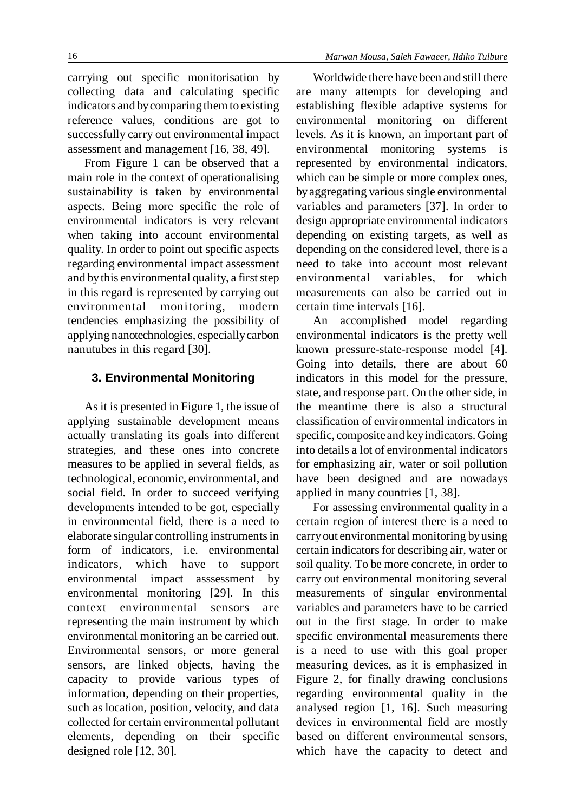From Figure 1 can be observed that a main role in the context of operationalising sustainability is taken by environmental aspects. Being more specific the role of environmental indicators is very relevant when taking into account environmental quality. In order to point out specific aspects regarding environmental impact assessment and by this environmental quality, a first step in this regard is represented by carrying out environmental monitoring, modern tendencies emphasizing the possibility of applying nanotechnologies, especially carbon nanutubes in this regard [30].

## **3. Environmental Monitoring**

As it is presented in Figure 1, the issue of applying sustainable development means actually translating its goals into different strategies, and these ones into concrete measures to be applied in several fields, as technological, economic, environmental, and social field. In order to succeed verifying developments intended to be got, especially in environmental field, there is a need to elaborate singular controlling instrumentsin form of indicators, i.e. environmental indicators, which have to support environmental impact asssessment by environmental monitoring [29]. In this context environmental sensors are representing the main instrument by which environmental monitoring an be carried out. Environmental sensors, or more general sensors, are linked objects, having the capacity to provide various types of information, depending on their properties, such as location, position, velocity, and data collected for certain environmental pollutant elements, depending on their specific designed role [12, 30].

Worldwide there have been and still there are many attempts for developing and establishing flexible adaptive systems for environmental monitoring on different levels. As it is known, an important part of environmental monitoring systems is represented by environmental indicators, which can be simple or more complex ones, by aggregating various single environmental variables and parameters [37]. In order to design appropriate environmental indicators depending on existing targets, as well as depending on the considered level, there is a need to take into account most relevant environmental variables, for which measurements can also be carried out in certain time intervals [16].

An accomplished model regarding environmental indicators is the pretty well known pressure-state-response model [4]. Going into details, there are about 60 indicators in this model for the pressure, state, and response part. On the other side, in the meantime there is also a structural classification of environmental indicators in specific, composite and key indicators. Going into details a lot of environmental indicators for emphasizing air, water or soil pollution have been designed and are nowadays applied in many countries [1, 38].

For assessing environmental quality in a certain region of interest there is a need to carryout environmental monitoring byusing certain indicators for describing air, water or soil quality. To be more concrete, in order to carry out environmental monitoring several measurements of singular environmental variables and parameters have to be carried out in the first stage. In order to make specific environmental measurements there is a need to use with this goal proper measuring devices, as it is emphasized in Figure 2, for finally drawing conclusions regarding environmental quality in the analysed region [1, 16]. Such measuring devices in environmental field are mostly based on different environmental sensors, which have the capacity to detect and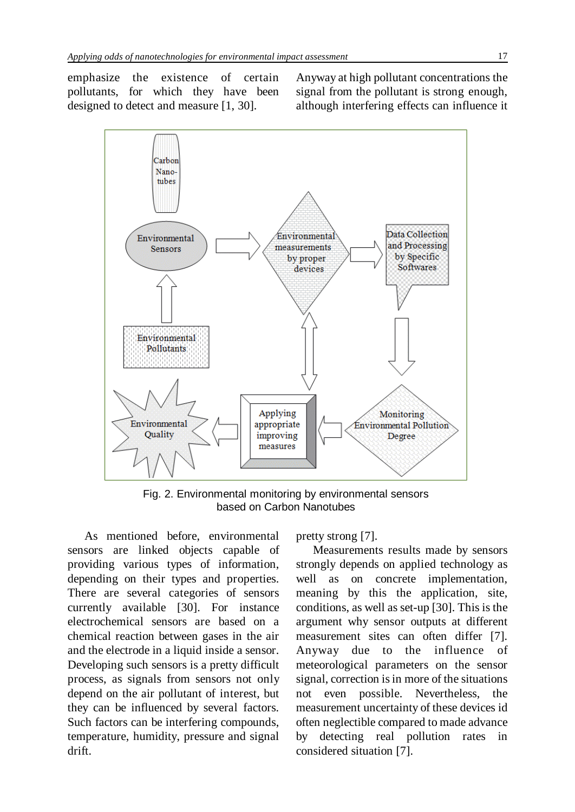designed to detect and measure [1, 30].

emphasize the existence of certain pollutants, for which they have been Anyway at high pollutant concentrations the signal from the pollutant is strong enough, although interfering effects can influence it



Fig. 2. Environmental monitoring by environmental sensors based on Carbon Nanotubes

As mentioned before, environmental sensors are linked objects capable of providing various types of information, depending on their types and properties. There are several categories of sensors currently available [30]. For instance electrochemical sensors are based on a chemical reaction between gases in the air and the electrode in a liquid inside a sensor. Developing such sensors is a pretty difficult process, as signals from sensors not only depend on the air pollutant of interest, but they can be influenced by several factors. Such factors can be interfering compounds, temperature, humidity, pressure and signal drift.

pretty strong [7].

Measurements results made by sensors strongly depends on applied technology as well as on concrete implementation, meaning by this the application, site, conditions, as well as set-up [30]. This is the argument why sensor outputs at different measurement sites can often differ [7]. Anyway due to the influence of meteorological parameters on the sensor signal, correction is in more of the situations not even possible. Nevertheless, the measurement uncertainty of these devices id often neglectible compared to made advance by detecting real pollution rates in considered situation [7].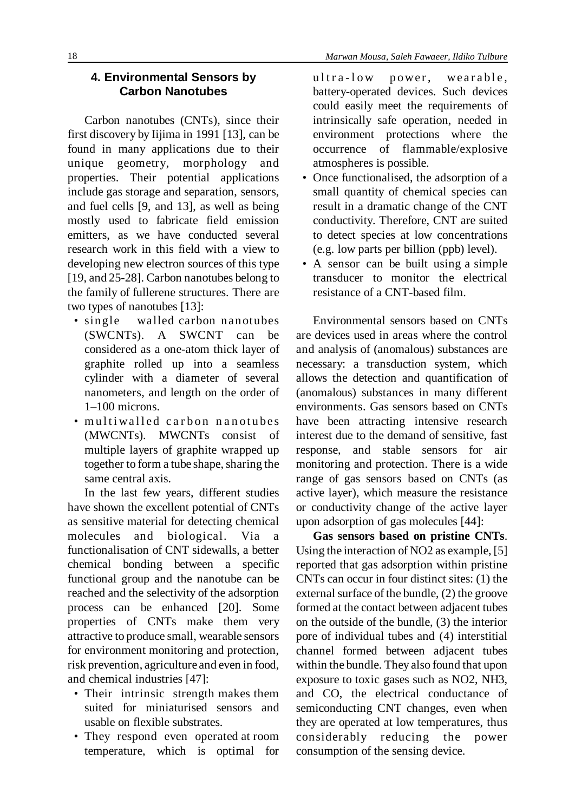## **4. Environmental Sensors by Carbon Nanotubes**

Carbon nanotubes (CNTs), since their first discovery by Iijima in 1991 [13], can be found in many applications due to their unique geometry, morphology and properties. Their potential applications include gas storage and separation, sensors, and fuel cells [9, and 13], as well as being mostly used to fabricate field emission emitters, as we have conducted several research work in this field with a view to developing new electron sources of this type [19, and 25-28]. Carbon nanotubes belong to the family of fullerene structures. There are two types of nanotubes [13]:

- single walled carbon nanotubes (SWCNTs). A SWCNT can be considered as a one-atom thick layer of graphite rolled up into a seamless cylinder with a diameter of several nanometers, and length on the order of 1–100 microns.
- multiwalled carbon nanotubes (MWCNTs). MWCNTs consist of multiple layers of graphite wrapped up together to form a tube shape, sharing the same central axis.

In the last few years, different studies have shown the excellent potential of CNTs as sensitive material for detecting chemical molecules and biological. Via a functionalisation of CNT sidewalls, a better chemical bonding between a specific functional group and the nanotube can be reached and the selectivity of the adsorption process can be enhanced [20]. Some properties of CNTs make them very attractive to produce small, wearable sensors for environment monitoring and protection, risk prevention, agriculture and even in food, and chemical industries [47]:

- Their intrinsic strength makes them suited for miniaturised sensors and usable on flexible substrates.
- They respond even operated at room temperature, which is optimal for

ultra-low power, wearable, battery-operated devices. Such devices could easily meet the requirements of intrinsically safe operation, needed in environment protections where the occurrence of flammable/explosive atmospheres is possible.

- Once functionalised, the adsorption of a small quantity of chemical species can result in a dramatic change of the CNT conductivity. Therefore, CNT are suited to detect species at low concentrations (e.g. low parts per billion (ppb) level).
- A sensor can be built using a simple transducer to monitor the electrical resistance of a CNT-based film.

Environmental sensors based on CNTs are devices used in areas where the control and analysis of (anomalous) substances are necessary: a transduction system, which allows the detection and quantification of (anomalous) substances in many different environments. Gas sensors based on CNTs have been attracting intensive research interest due to the demand of sensitive, fast response, and stable sensors for air monitoring and protection. There is a wide range of gas sensors based on CNTs (as active layer), which measure the resistance or conductivity change of the active layer upon adsorption of gas molecules [44]:

**Gas sensors based on pristine CNTs**. Using the interaction of NO2 as example, [5] reported that gas adsorption within pristine CNTs can occur in four distinct sites: (1) the external surface of the bundle,  $(2)$  the groove formed at the contact between adjacent tubes on the outside of the bundle, (3) the interior pore of individual tubes and (4) interstitial channel formed between adjacent tubes within the bundle. They also found that upon exposure to toxic gases such as NO2, NH3, and CO, the electrical conductance of semiconducting CNT changes, even when they are operated at low temperatures, thus considerably reducing the power consumption of the sensing device.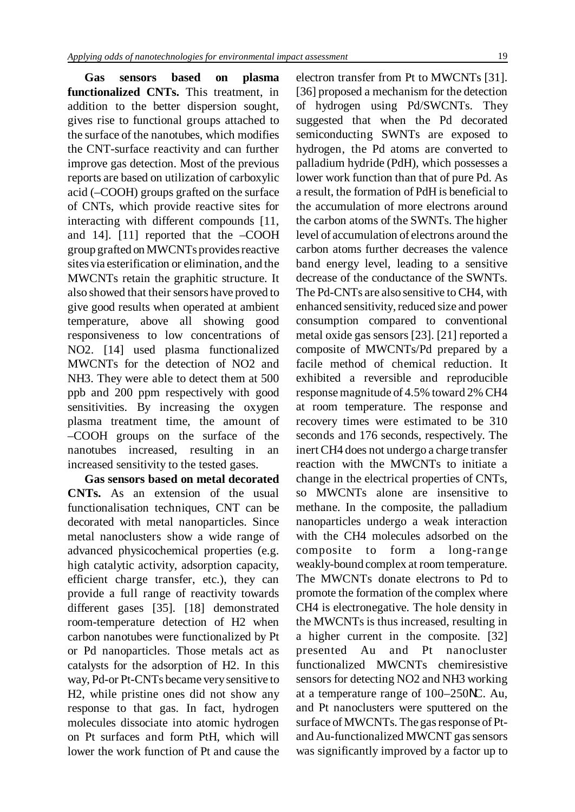**Gas sensors based on plasma functionalized CNTs.** This treatment, in addition to the better dispersion sought, gives rise to functional groups attached to the surface of the nanotubes, which modifies the CNT-surface reactivity and can further improve gas detection. Most of the previous reports are based on utilization of carboxylic acid (–COOH) groups grafted on the surface of CNTs, which provide reactive sites for interacting with different compounds [11, and 14]. [11] reported that the –COOH group grafted on MWCNTs provides reactive sites via esterification or elimination, and the MWCNTs retain the graphitic structure. It also showed that their sensors have proved to give good results when operated at ambient temperature, above all showing good responsiveness to low concentrations of NO2. [14] used plasma functionalized MWCNTs for the detection of NO2 and NH3. They were able to detect them at 500 ppb and 200 ppm respectively with good sensitivities. By increasing the oxygen plasma treatment time, the amount of –COOH groups on the surface of the nanotubes increased, resulting in an increased sensitivity to the tested gases.

**Gas sensors based on metal decorated CNTs.** As an extension of the usual functionalisation techniques, CNT can be decorated with metal nanoparticles. Since metal nanoclusters show a wide range of advanced physicochemical properties (e.g. high catalytic activity, adsorption capacity, efficient charge transfer, etc.), they can provide a full range of reactivity towards different gases [35]. [18] demonstrated room-temperature detection of H2 when carbon nanotubes were functionalized by Pt or Pd nanoparticles. Those metals act as catalysts for the adsorption of H2. In this way, Pd-or Pt-CNTs became verysensitive to H2, while pristine ones did not show any response to that gas. In fact, hydrogen molecules dissociate into atomic hydrogen on Pt surfaces and form PtH, which will lower the work function of Pt and cause the

electron transfer from Pt to MWCNTs [31]. [36] proposed a mechanism for the detection of hydrogen using Pd/SWCNTs. They suggested that when the Pd decorated semiconducting SWNTs are exposed to hydrogen, the Pd atoms are converted to palladium hydride (PdH), which possesses a lower work function than that of pure Pd. As a result, the formation of PdH is beneficial to the accumulation of more electrons around the carbon atoms of the SWNTs. The higher level of accumulation of electrons around the carbon atoms further decreases the valence band energy level, leading to a sensitive decrease of the conductance of the SWNTs. The Pd-CNTs are also sensitive toCH4, with enhanced sensitivity, reduced size and power consumption compared to conventional metal oxide gas sensors [23]. [21] reported a composite of MWCNTs/Pd prepared by a facile method of chemical reduction. It exhibited a reversible and reproducible responsemagnitude of 4.5% toward 2% CH4 at room temperature. The response and recovery times were estimated to be 310 seconds and 176 seconds, respectively. The inert CH4 does not undergo a charge transfer reaction with the MWCNTs to initiate a change in the electrical properties of CNTs, so MWCNTs alone are insensitive to methane. In the composite, the palladium nanoparticles undergo a weak interaction with the CH4 molecules adsorbed on the composite to form a long-range weakly-bound complex at room temperature. The MWCNTs donate electrons to Pd to promote the formation of the complex where CH4 is electronegative. The hole density in the MWCNTs is thus increased, resulting in a higher current in the composite. [32] presented Au and Pt nanocluster functionalized MWCNTs chemiresistive sensors for detecting NO2 and NH3 working at a temperature range of 100–250NC. Au, and Pt nanoclusters were sputtered on the surface of MWCNTs. The gas response of Ptand Au-functionalized MWCNT gas sensors was significantly improved by a factor up to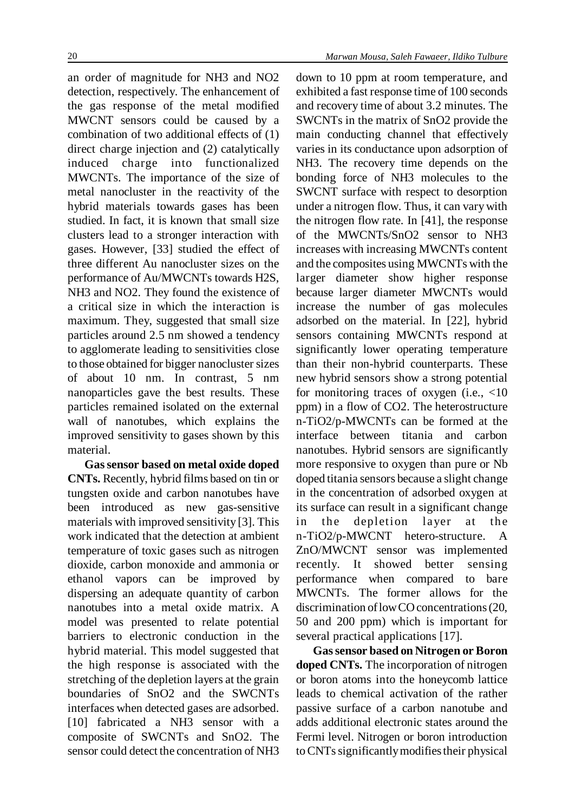an order of magnitude for NH3 and NO2 detection, respectively. The enhancement of the gas response of the metal modified MWCNT sensors could be caused by a combination of two additional effects of (1) direct charge injection and (2) catalytically induced charge into functionalized MWCNTs. The importance of the size of metal nanocluster in the reactivity of the hybrid materials towards gases has been studied. In fact, it is known that small size clusters lead to a stronger interaction with gases. However, [33] studied the effect of three different Au nanocluster sizes on the performance of Au/MWCNTs towards H2S, NH3 and NO2. They found the existence of a critical size in which the interaction is maximum. They, suggested that small size particles around 2.5 nm showed a tendency to agglomerate leading to sensitivities close to those obtained for bigger nanocluster sizes of about 10 nm. In contrast, 5 nm nanoparticles gave the best results. These particles remained isolated on the external wall of nanotubes, which explains the improved sensitivity to gases shown by this material.

**Gassensor based on metal oxide doped CNTs.** Recently, hybrid films based on tin or tungsten oxide and carbon nanotubes have been introduced as new gas-sensitive materials with improved sensitivity [3]. This work indicated that the detection at ambient temperature of toxic gases such as nitrogen dioxide, carbon monoxide and ammonia or ethanol vapors can be improved by dispersing an adequate quantity of carbon nanotubes into a metal oxide matrix. A model was presented to relate potential barriers to electronic conduction in the hybrid material. This model suggested that the high response is associated with the stretching of the depletion layers at the grain boundaries of SnO2 and the SWCNTs interfaces when detected gases are adsorbed. [10] fabricated a NH3 sensor with a composite of SWCNTs and SnO2. The sensor could detect the concentration of NH3

down to 10 ppm at room temperature, and exhibited a fast response time of 100 seconds and recovery time of about 3.2 minutes. The SWCNTs in the matrix of SnO2 provide the main conducting channel that effectively varies in its conductance upon adsorption of NH3. The recovery time depends on the bonding force of NH3 molecules to the SWCNT surface with respect to desorption under a nitrogen flow. Thus, it can varywith the nitrogen flow rate. In [41], the response of the MWCNTs/SnO2 sensor to NH3 increases with increasing MWCNTs content and the composites using MWCNTs with the larger diameter show higher response because larger diameter MWCNTs would increase the number of gas molecules adsorbed on the material. In [22], hybrid sensors containing MWCNTs respond at significantly lower operating temperature than their non-hybrid counterparts. These new hybrid sensors show a strong potential for monitoring traces of oxygen (i.e., <10 ppm) in a flow of CO2. The heterostructure n-TiO2/p-MWCNTs can be formed at the interface between titania and carbon nanotubes. Hybrid sensors are significantly more responsive to oxygen than pure or Nb doped titania sensors because a slight change in the concentration of adsorbed oxygen at its surface can result in a significant change in the depletion layer at the n-TiO2/p-MWCNT hetero-structure. A ZnO/MWCNT sensor was implemented recently. It showed better sensing performance when compared to bare MWCNTs. The former allows for the discrimination of low CO concentrations (20, 50 and 200 ppm) which is important for several practical applications [17].

**Gassensor based on Nitrogen or Boron doped CNTs.** The incorporation of nitrogen or boron atoms into the honeycomb lattice leads to chemical activation of the rather passive surface of a carbon nanotube and adds additional electronic states around the Fermi level. Nitrogen or boron introduction to CNTs significantly modifies their physical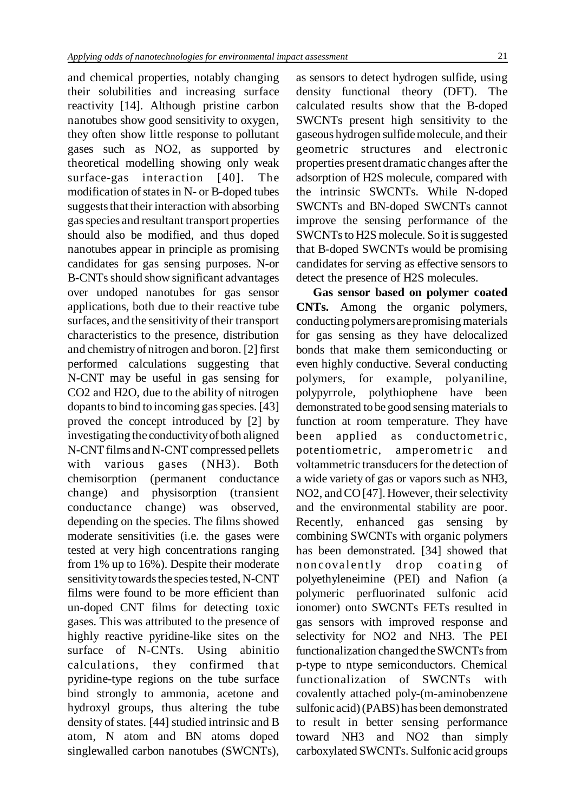and chemical properties, notably changing their solubilities and increasing surface reactivity [14]. Although pristine carbon nanotubes show good sensitivity to oxygen, they often show little response to pollutant gases such as NO2, as supported by theoretical modelling showing only weak surface-gas interaction [40]. The modification of states in N- or B-doped tubes suggests that their interaction with absorbing gasspecies and resultant transport properties should also be modified, and thus doped nanotubes appear in principle as promising candidates for gas sensing purposes. N-or B-CNTsshould show significant advantages over undoped nanotubes for gas sensor applications, both due to their reactive tube surfaces, and the sensitivity of their transport characteristics to the presence, distribution and chemistry of nitrogen and boron. [2] first performed calculations suggesting that N-CNT may be useful in gas sensing for CO2 and H2O, due to the ability of nitrogen dopants to bind to incoming gas species. [43] proved the concept introduced by [2] by investigating the conductivity of both aligned N-CNT films and N-CNT compressed pellets with various gases (NH3). Both chemisorption (permanent conductance change) and physisorption (transient conductance change) was observed, depending on the species. The films showed moderate sensitivities (i.e. the gases were tested at very high concentrations ranging from 1% up to 16%). Despite their moderate sensitivitytowards the species tested, N-CNT films were found to be more efficient than un-doped CNT films for detecting toxic gases. This was attributed to the presence of highly reactive pyridine-like sites on the surface of N-CNTs. Using abinitio calculations, they confirmed that pyridine-type regions on the tube surface bind strongly to ammonia, acetone and hydroxyl groups, thus altering the tube density of states. [44] studied intrinsic and B atom, N atom and BN atoms doped singlewalled carbon nanotubes (SWCNTs),

as sensors to detect hydrogen sulfide, using density functional theory (DFT). The calculated results show that the B-doped SWCNTs present high sensitivity to the gaseous hydrogen sulfidemolecule, and their geometric structures and electronic properties present dramatic changes after the adsorption of H2S molecule, compared with the intrinsic SWCNTs. While N-doped SWCNTs and BN-doped SWCNTs cannot improve the sensing performance of the SWCNTs to H2S molecule. So it is suggested that B-doped SWCNTs would be promising candidates for serving as effective sensors to detect the presence of H2S molecules.

**Gas sensor based on polymer coated CNTs.** Among the organic polymers, conducting polymers are promising materials for gas sensing as they have delocalized bonds that make them semiconducting or even highly conductive. Several conducting polymers, for example, polyaniline, polypyrrole, polythiophene have been demonstrated to be good sensing materials to function at room temperature. They have been applied as conductometric, potentiometric, amperometric and voltammetric transducers for the detection of a wide variety of gas or vapors such as NH3, NO2, and CO<sup>[47]</sup>. However, their selectivity and the environmental stability are poor. Recently, enhanced gas sensing by combining SWCNTs with organic polymers has been demonstrated. [34] showed that non covalently drop coating of polyethyleneimine (PEI) and Nafion (a polymeric perfluorinated sulfonic acid ionomer) onto SWCNTs FETs resulted in gas sensors with improved response and selectivity for NO2 and NH3. The PEI functionalization changed the SWCNTs from p-type to ntype semiconductors. Chemical functionalization of SWCNTs with covalently attached poly-(m-aminobenzene sulfonic acid)(PABS) has been demonstrated to result in better sensing performance toward NH3 and NO2 than simply carboxylated SWCNTs. Sulfonic acid groups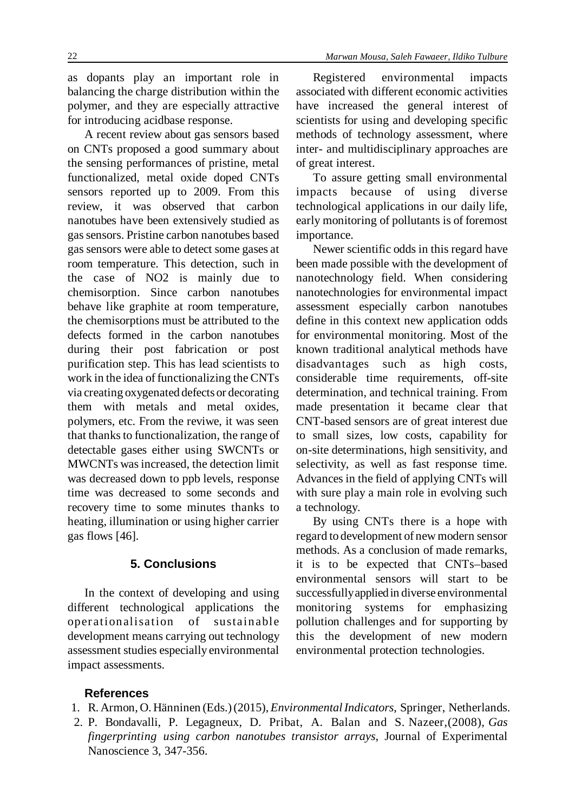as dopants play an important role in balancing the charge distribution within the polymer, and they are especially attractive for introducing acidbase response.

A recent review about gas sensors based on CNTs proposed a good summary about the sensing performances of pristine, metal functionalized, metal oxide doped CNTs sensors reported up to 2009. From this review, it was observed that carbon nanotubes have been extensively studied as gassensors. Pristine carbon nanotubes based gas sensors were able to detect some gases at room temperature. This detection, such in the case of NO2 is mainly due to chemisorption. Since carbon nanotubes behave like graphite at room temperature, the chemisorptions must be attributed to the defects formed in the carbon nanotubes during their post fabrication or post purification step. This has lead scientists to work in the idea of functionalizing the CNTs via creating oxygenated defects or decorating them with metals and metal oxides, polymers, etc. From the reviwe, it was seen that thanks to functionalization, the range of detectable gases either using SWCNTs or MWCNTs wasincreased, the detection limit was decreased down to ppb levels, response time was decreased to some seconds and recovery time to some minutes thanks to heating, illumination or using higher carrier gas flows [46].

### **5. Conclusions**

In the context of developing and using different technological applications the operationalisation of sustainable development means carrying out technology assessment studies especially environmental impact assessments.

Registered environmental impacts associated with different economic activities have increased the general interest of scientists for using and developing specific methods of technology assessment, where inter- and multidisciplinary approaches are of great interest.

To assure getting small environmental impacts because of using diverse technological applications in our daily life, early monitoring of pollutants is of foremost importance.

Newer scientific odds in this regard have been made possible with the development of nanotechnology field. When considering nanotechnologies for environmental impact assessment especially carbon nanotubes define in this context new application odds for environmental monitoring. Most of the known traditional analytical methods have disadvantages such as high costs, considerable time requirements, off-site determination, and technical training. From made presentation it became clear that CNT-based sensors are of great interest due to small sizes, low costs, capability for on-site determinations, high sensitivity, and selectivity, as well as fast response time. Advances in the field of applying CNTs will with sure play a main role in evolving such a technology.

By using CNTs there is a hope with regard to development of new modern sensor methods. As a conclusion of made remarks, it is to be expected that CNTs–based environmental sensors will start to be successfully applied in diverse environmental monitoring systems for emphasizing pollution challenges and for supporting by this the development of new modern environmental protection technologies.

### **References**

- 1. R. Armon, O. Hänninen (Eds.)(2015),*EnvironmentalIndicators*, Springer, Netherlands.
- 2. P. Bondavalli, P. Legagneux, D. Pribat, A. Balan and S. Nazeer,(2008), *Gas fingerprinting using carbon nanotubes transistor arrays*, Journal of Experimental Nanoscience 3, 347-356.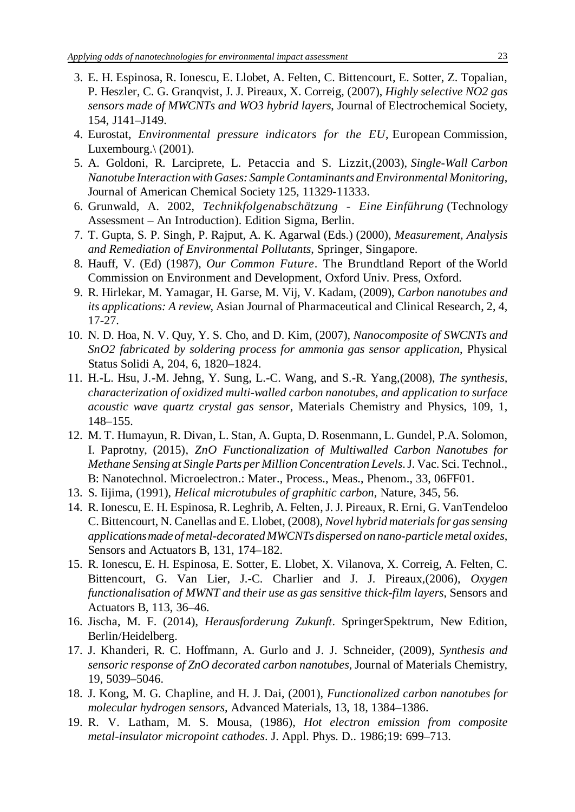- 3. E. H. Espinosa, R. Ionescu, E. Llobet, A. Felten, C. Bittencourt, E. Sotter, Z. Topalian, P. Heszler, C. G. Granqvist, J. J. Pireaux, X. Correig, (2007), *Highly selective NO2 gas sensors made of MWCNTs and WO3 hybrid layers*, Journal of Electrochemical Society, 154, J141–J149.
- 4. Eurostat, *Environmental pressure indicators for the EU*, European Commission, Luxembourg. $\langle$  (2001).
- 5. A. Goldoni, R. Larciprete, L. Petaccia and S. Lizzit,(2003), *Single-Wall Carbon Nanotube InteractionwithGases: SampleContaminants andEnvironmental Monitoring*, Journal of American Chemical Society 125, 11329-11333.
- 6. Grunwald, A. 2002, *Technikfolgenabschätzung Eine Einführung* (Technology Assessment – An Introduction). Edition Sigma, Berlin.
- 7. T. Gupta, S. P. Singh, P. Rajput, A. K. Agarwal (Eds.) (2000), *Measurement, Analysis and Remediation of Environmental Pollutants*, Springer, Singapore.
- 8. Hauff, V. (Ed) (1987), *Our Common Future*. The Brundtland Report of the World Commission on Environment and Development, Oxford Univ. Press, Oxford.
- 9. R. Hirlekar, M. Yamagar, H. Garse, M. Vij, V. Kadam, (2009), *Carbon nanotubes and its applications: A review*, Asian Journal of Pharmaceutical and Clinical Research, 2, 4, 17-27.
- 10. N. D. Hoa, N. V. Quy, Y. S. Cho, and D. Kim, (2007), *Nanocomposite of SWCNTs and SnO2 fabricated by soldering process for ammonia gas sensor application*, Physical Status Solidi A, 204, 6, 1820–1824.
- 11. H.-L. Hsu, J.-M. Jehng, Y. Sung, L.-C. Wang, and S.-R. Yang,(2008), *The synthesis, characterization of oxidized multi-walled carbon nanotubes, and application to surface acoustic wave quartz crystal gas sensor*, Materials Chemistry and Physics, 109, 1, 148–155.
- 12. M. T. Humayun, R. Divan, L. Stan, A. Gupta, D. Rosenmann, L. Gundel, P.A. Solomon, I. Paprotny, (2015), *ZnO Functionalization of Multiwalled Carbon Nanotubes for Methane Sensing at Single Parts per MillionConcentration Levels*.J. Vac. Sci. Technol., B: Nanotechnol. Microelectron.: Mater., Process., Meas., Phenom., 33, 06FF01.
- 13. S. Iijima, (1991), *Helical microtubules of graphitic carbon*, Nature, 345, 56.
- 14. R. Ionescu, E. H. Espinosa, R. Leghrib, A. Felten, J. J. Pireaux, R. Erni, G. VanTendeloo C. Bittencourt, N. Canellas and E. Llobet, (2008), *Novel hybrid materialsfor gassensing applications made of metal-decorated MWCNTs dispersed on nano-particle metal oxides*, Sensors and Actuators B, 131, 174–182.
- 15. R. Ionescu, E. H. Espinosa, E. Sotter, E. Llobet, X. Vilanova, X. Correig, A. Felten, C. Bittencourt, G. Van Lier, J.-C. Charlier and J. J. Pireaux,(2006), *Oxygen functionalisation of MWNT and their use as gas sensitive thick-film layers*, Sensors and Actuators B, 113, 36–46.
- 16. Jischa, M. F. (2014), *Herausforderung Zukunft*. SpringerSpektrum, New Edition, Berlin/Heidelberg.
- 17. J. Khanderi, R. C. Hoffmann, A. Gurlo and J. J. Schneider, (2009), *Synthesis and sensoric response of ZnO decorated carbon nanotubes*, Journal of Materials Chemistry, 19, 5039–5046.
- 18. J. Kong, M. G. Chapline, and H. J. Dai, (2001), *Functionalized carbon nanotubes for molecular hydrogen sensors*, Advanced Materials, 13, 18, 1384–1386.
- 19. R. V. Latham, M. S. Mousa, (1986), *Hot electron emission from composite metal-insulator micropoint cathodes*. J. Appl. Phys. D.. 1986;19: 699–713.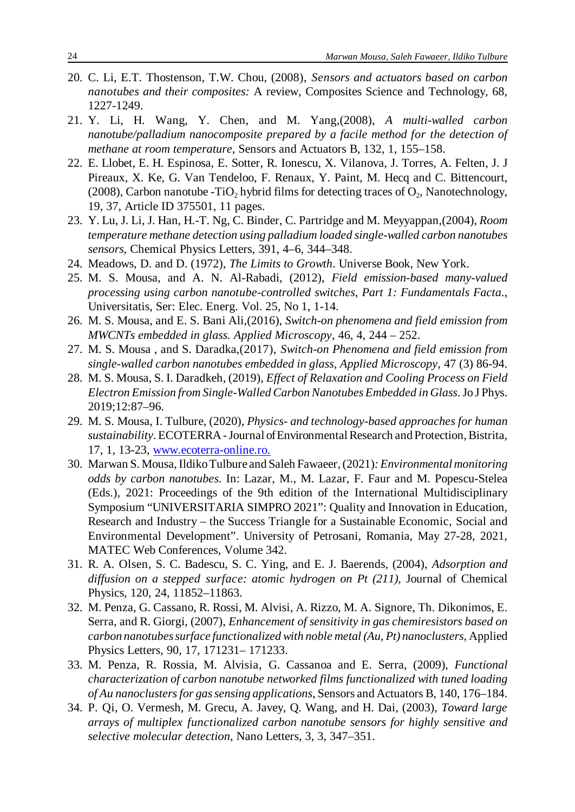- 20. C. Li, E.T. Thostenson, T.W. Chou, (2008), *Sensors and actuators based on carbon nanotubes and their composites:* A review, Composites Science and Technology, 68, 1227-1249.
- 21. Y. Li, H. Wang, Y. Chen, and M. Yang,(2008), *A multi-walled carbon nanotube/palladium nanocomposite prepared by a facile method for the detection of methane at room temperature*, Sensors and Actuators B, 132, 1, 155–158.
- 22. E. Llobet, E. H. Espinosa, E. Sotter, R. Ionescu, X. Vilanova, J. Torres, A. Felten, J. J Pireaux, X. Ke, G. Van Tendeloo, F. Renaux, Y. Paint, M. Hecq and C. Bittencourt, (2008), Carbon nanotube -TiO<sub>2</sub> hybrid films for detecting traces of  $O_2$ , Nanotechnology, 19, 37, Article ID 375501, 11 pages.
- 23. Y. Lu, J. Li, J. Han, H.-T. Ng, C. Binder, C. Partridge and M. Meyyappan,(2004), *Room temperature methane detection using palladium loaded single-walled carbon nanotubes sensors*, Chemical Physics Letters, 391, 4–6, 344–348.
- 24. Meadows, D. and D. (1972), *The Limits to Growth*. Universe Book, New York.
- 25. M. S. Mousa, and A. N. Al-Rabadi, (2012), *Field emission-based many-valued processing using carbon nanotube-controlled switches, Part 1: Fundamentals Facta*., Universitatis, Ser: Elec. Energ. Vol. 25, No 1, 1-14.
- 26. M. S. Mousa, and E. S. Bani Ali,(2016), *Switch-on phenomena and field emission from MWCNTs embedded in glass. Applied Microscopy*, 46, 4, 244 – 252.
- 27. M. S. Mousa , and S. Daradka,(2017), *Switch-on Phenomena and field emission from single-walled carbon nanotubes embedded in glass, Applied Microscopy*, 47 (3) 86-94.
- 28. M. S. Mousa, S. I. Daradkeh, (2019), *Effect of Relaxation and Cooling Process on Field Electron Emission from Single-Walled CarbonNanotubes Embedded in Glass*.Jo J Phys. 2019;12:87–96.
- 29. M. S. Mousa, I. Tulbure, (2020), *Physics- and technology-based approaches for human sustainability*. ECOTERRA-Journal of Environmental Research and Protection, Bistrita, 17, 1, 13-23, www.ecoterra-online.ro.
- 30. Marwan S. Mousa,IldikoTulbure and Saleh Fawaeer,(2021)*:Environmental monitoring odds by carbon nanotubes*. In: Lazar, M., M. Lazar, F. Faur and M. Popescu-Stelea (Eds.), 2021: Proceedings of the 9th edition of the International Multidisciplinary Symposium "UNIVERSITARIA SIMPRO 2021": Quality and Innovation in Education, Research and Industry – the Success Triangle for a Sustainable Economic, Social and Environmental Development". University of Petrosani, Romania, May 27-28, 2021, MATEC Web Conferences, Volume 342.
- 31. R. A. Olsen, S. C. Badescu, S. C. Ying, and E. J. Baerends, (2004), *Adsorption and diffusion on a stepped surface: atomic hydrogen on Pt (211)*, Journal of Chemical Physics, 120, 24, 11852–11863.
- 32. M. Penza, G. Cassano, R. Rossi, M. Alvisi, A. Rizzo, M. A. Signore, Th. Dikonimos, E. Serra, and R. Giorgi, (2007), *Enhancement of sensitivity in gas chemiresistors based on carbon nanotubessurface functionalized with noble metal (Au, Pt) nanoclusters*, Applied Physics Letters, 90, 17, 171231– 171233.
- 33. M. Penza, R. Rossia, M. Alvisia, G. Cassanoa and E. Serra, (2009), *Functional characterization of carbon nanotube networked films functionalized with tuned loading of Au nanoclustersfor gassensing applications*, Sensors and Actuators B, 140, 176–184.
- 34. P. Qi, O. Vermesh, M. Grecu, A. Javey, Q. Wang, and H. Dai, (2003), *Toward large arrays of multiplex functionalized carbon nanotube sensors for highly sensitive and selective molecular detection*, Nano Letters, 3, 3, 347–351.